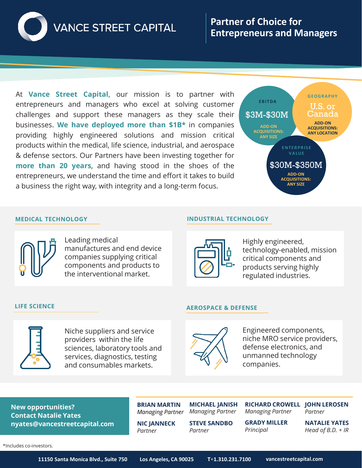

At **Vance Street Capital,** our mission is to partner with entrepreneurs and managers who excel at solving customer challenges and support these managers as they scale their businesses. **We have deployed more than \$1B\*** in companies providing highly engineered solutions and mission critical products within the medical, life science, industrial, and aerospace & defense sectors. Our Partners have been investing together for **more than 20 years**, and having stood in the shoes of the entrepreneurs, we understand the time and effort it takes to build a business the right way, with integrity and a long-term focus.



## **MEDICAL TECHNOLOGY INDUSTRIAL TECHNOLOGY**



Leading medical manufactures and end device companies supplying critical components and products to the interventional market.



Highly engineered, technology-enabled, mission critical components and products serving highly regulated industries.



Niche suppliers and service providers within the life sciences, laboratory tools and services, diagnostics, testing and consumables markets.

## **LIFE SCIENCE AEROSPACE & DEFENSE**



Engineered components, niche MRO service providers, defense electronics, and unmanned technology companies.

**New opportunities? Contact Natalie Yates nyates@vancestreetcapital.com**

**MICHAEL JANISH BRIAN MARTIN** *Managing Partner*

**NIC JANNECK**

*Partner*

*Managing Partner* **STEVE SANDBO**

*Partner*

**RICHARD CROWELL JOHN LEROSEN** *Managing Partner*

*Principal*

**GRADY MILLER** *Partner*

**NATALIE YATES** *Head of B.D. + IR*

\*Includes co-investors.

**11150 Santa Monica Blvd., Suite 750 Los Angeles, CA 90025 T**+**1.310.231.7100 vancestreetcapital.com**